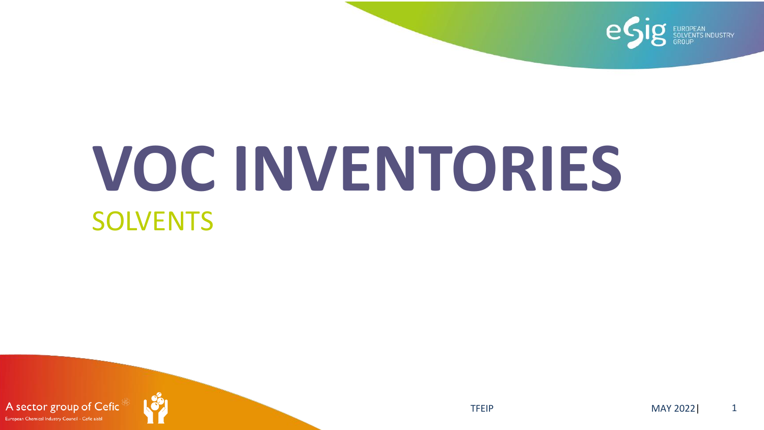

# **VOC INVENTORIES SOLVENTS**

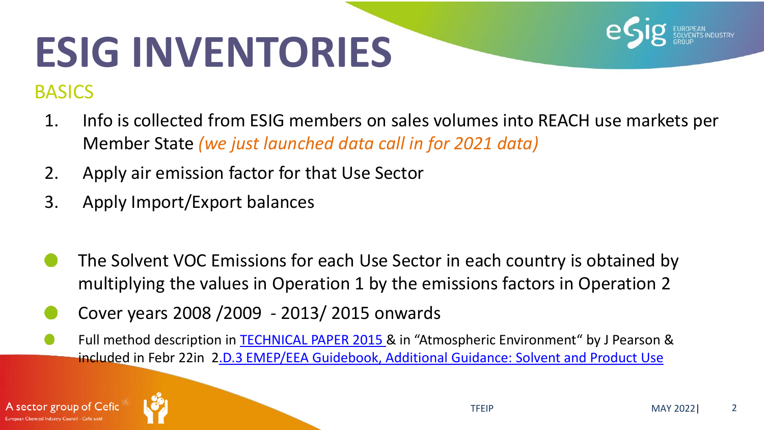

- 1. Info is collected from ESIG members on sales volumes into REACH use markets per Member State *(we just launched data call in for 2021 data)*
- 2. Apply air emission factor for that Use Sector
- 3. Apply Import/Export balances
- The Solvent VOC Emissions for each Use Sector in each country is obtained by multiplying the values in Operation 1 by the emissions factors in Operation 2
- Cover years 2008 /2009 2013/ 2015 onwards
- Full method description in **TECHNICAL PAPER 2015 &** in "Atmospheric Environment" by J Pearson & included in Febr 22in [2.D.3 EMEP/EEA Guidebook, Additional Guidance: Solvent and Product Use](https://www.eea.europa.eu/publications/emep-eea-guidebook-2019/part-b-sectoral-guidance-chapters/2-industrial-processes/2-d-l-other-solvent/2-d-3-emep-eea/view)



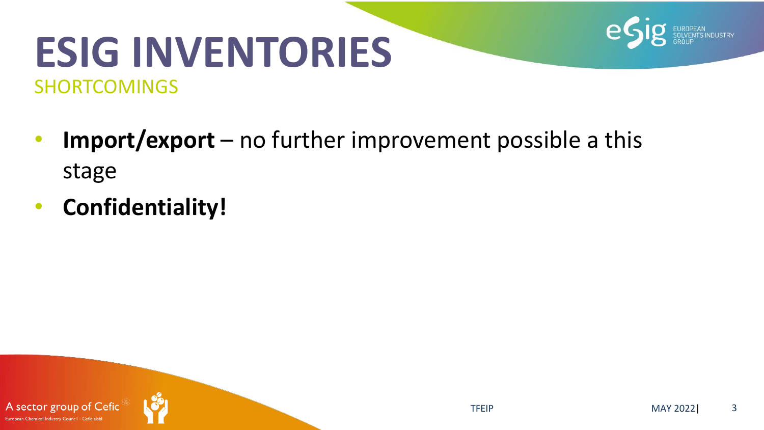### **ESIG INVENTORIES** SHORTCOMINGS

- **Import/export**  no further improvement possible a this stage
- **Confidentiality!**

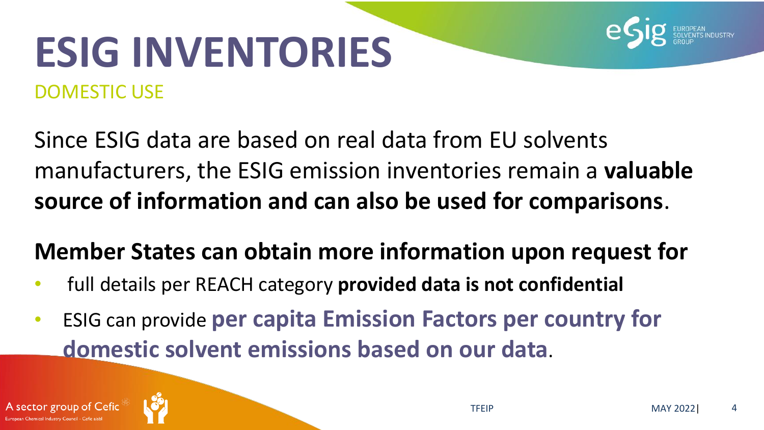## **ESIG INVENTORIES** DOMESTIC USE

Since ESIG data are based on real data from EU solvents manufacturers, the ESIG emission inventories remain a **valuable source of information and can also be used for comparisons**.

### **Member States can obtain more information upon request for**

- full details per REACH category **provided data is not confidential**
- ESIG can provide **per capita Emission Factors per country for domestic solvent emissions based on our data**.



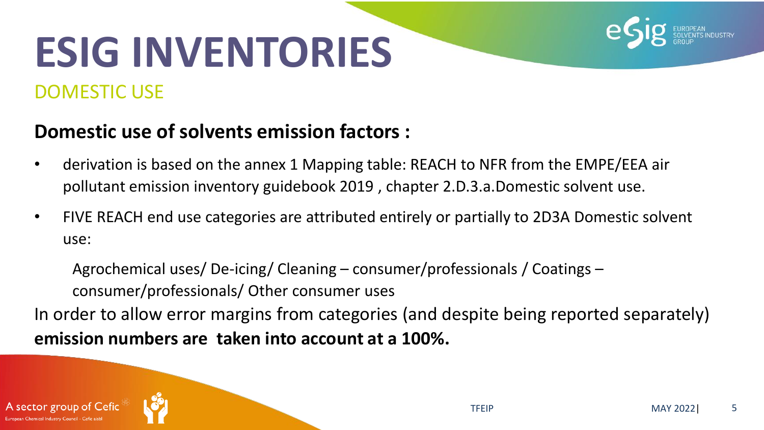## **ESIG INVENTORIES** DOMESTIC USE



- derivation is based on the annex 1 Mapping table: REACH to NFR from the EMPE/EEA air pollutant emission inventory guidebook 2019 , chapter 2.D.3.a.Domestic solvent use.
- FIVE REACH end use categories are attributed entirely or partially to 2D3A Domestic solvent use:

Agrochemical uses/ De-icing/ Cleaning – consumer/professionals / Coatings – consumer/professionals/ Other consumer uses

In order to allow error margins from categories (and despite being reported separately) **emission numbers are taken into account at a 100%.** 

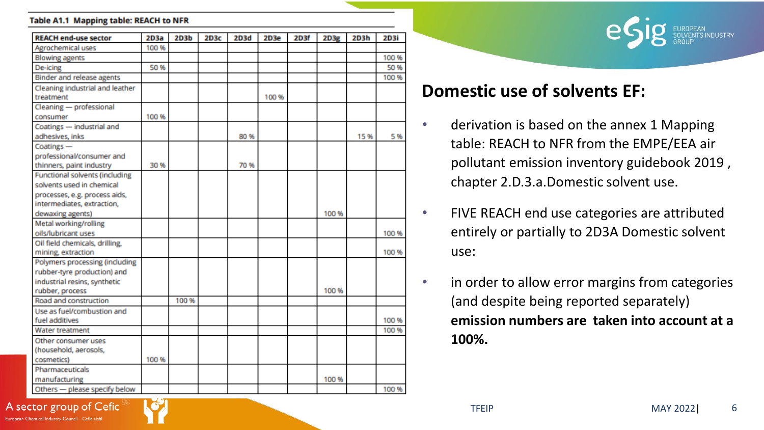#### Table A1.1 Mapping table: REACH to NFR

| <b>REACH end-use sector</b>           | 2D3a  | 2D3b  | 2D3c | 2D3d | 2D3e  | 2D3f | 2D3g  | 2D3h | <b>2D3i</b> |
|---------------------------------------|-------|-------|------|------|-------|------|-------|------|-------------|
| <b>Agrochemical uses</b>              | 100 % |       |      |      |       |      |       |      |             |
| <b>Blowing agents</b>                 |       |       |      |      |       |      |       |      | 100 %       |
| De-icing                              | 50%   |       |      |      |       |      |       |      | 50%         |
| <b>Binder and release agents</b>      |       |       |      |      |       |      |       |      | 100 %       |
| Cleaning industrial and leather       |       |       |      |      |       |      |       |      |             |
| treatment                             |       |       |      |      | 100 % |      |       |      |             |
| Cleaning - professional               |       |       |      |      |       |      |       |      |             |
| consumer                              | 100 % |       |      |      |       |      |       |      |             |
| Coatings - industrial and             |       |       |      |      |       |      |       |      |             |
| adhesives, inks                       |       |       |      | 80 % |       |      |       | 15%  | 5%          |
| Coatings-                             |       |       |      |      |       |      |       |      |             |
| professional/consumer and             |       |       |      |      |       |      |       |      |             |
| thinners, paint industry              | 30%   |       |      | 70 % |       |      |       |      |             |
| <b>Functional solvents (including</b> |       |       |      |      |       |      |       |      |             |
| solvents used in chemical             |       |       |      |      |       |      |       |      |             |
| processes, e.g. process aids,         |       |       |      |      |       |      |       |      |             |
| intermediates, extraction,            |       |       |      |      |       |      |       |      |             |
| dewaxing agents)                      |       |       |      |      |       |      | 100 % |      |             |
| Metal working/rolling                 |       |       |      |      |       |      |       |      |             |
| oils/lubricant uses                   |       |       |      |      |       |      |       |      | 100 %       |
| Oil field chemicals, drilling,        |       |       |      |      |       |      |       |      |             |
| mining, extraction                    |       |       |      |      |       |      |       |      | 100 %       |
| Polymers processing (including        |       |       |      |      |       |      |       |      |             |
| rubber-tyre production) and           |       |       |      |      |       |      |       |      |             |
| industrial resins, synthetic          |       |       |      |      |       |      |       |      |             |
| rubber, process                       |       |       |      |      |       |      | 100 % |      |             |
| Road and construction                 |       | 100 % |      |      |       |      |       |      |             |
| Use as fuel/combustion and            |       |       |      |      |       |      |       |      |             |
| fuel additives                        |       |       |      |      |       |      |       |      | 100 %       |
| <b>Water treatment</b>                |       |       |      |      |       |      |       |      | 100 %       |
| Other consumer uses                   |       |       |      |      |       |      |       |      |             |
| (household, aerosols,                 |       |       |      |      |       |      |       |      |             |
| cosmetics)                            | 100 % |       |      |      |       |      |       |      |             |
| <b>Pharmaceuticals</b>                |       |       |      |      |       |      |       |      |             |
| manufacturing                         |       |       |      |      |       |      | 100 % |      |             |
| Others - please specify below         |       |       |      |      |       |      |       |      | 100%        |



#### **Domestic use of solvents EF:**

- derivation is based on the annex 1 Mapping table: REACH to NFR from the EMPE/EEA air pollutant emission inventory guidebook 2019 , chapter 2.D.3.a.Domestic solvent use.
- FIVE REACH end use categories are attributed entirely or partially to 2D3A Domestic solvent use:
- in order to allow error margins from categories (and despite being reported separately) **emission numbers are taken into account at a 100%.**

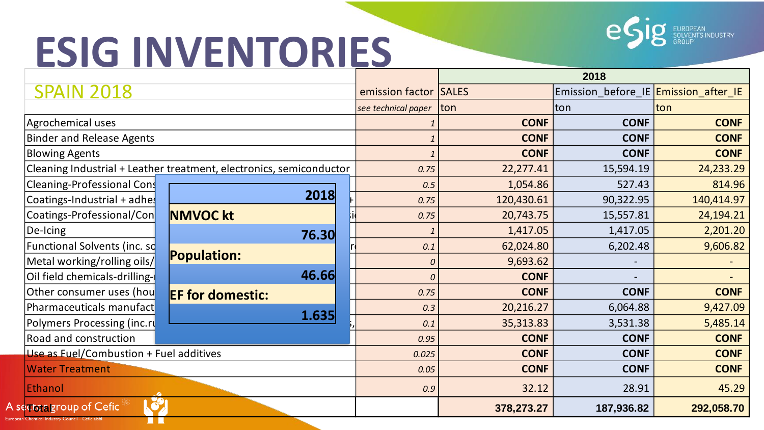A<sub>s</sub> Euron



|                                                                     |                         |                     | 2018         |                                      |             |  |
|---------------------------------------------------------------------|-------------------------|---------------------|--------------|--------------------------------------|-------------|--|
| <b>SPAIN 2018</b>                                                   |                         | emission factor     | <b>SALES</b> | Emission before IE Emission after IE |             |  |
|                                                                     |                         | see technical paper | <b>Iton</b>  | Iton                                 | Iton        |  |
| Agrochemical uses                                                   |                         | <b>CONF</b>         | <b>CONF</b>  | <b>CONF</b>                          |             |  |
| <b>Binder and Release Agents</b>                                    |                         | <b>CONF</b>         | <b>CONF</b>  | <b>CONF</b>                          |             |  |
| <b>Blowing Agents</b>                                               |                         | <b>CONF</b>         | <b>CONF</b>  | <b>CONF</b>                          |             |  |
| Cleaning Industrial + Leather treatment, electronics, semiconductor | 0.75                    | 22,277.41           | 15,594.19    | 24,233.29                            |             |  |
| Cleaning-Professional Cons                                          |                         | 0.5                 | 1,054.86     | 527.43                               | 814.96      |  |
| Coatings-Industrial + adhe                                          | 2018                    | 0.75                | 120,430.61   | 90,322.95                            | 140,414.97  |  |
| Coatings-Professional/Con                                           | <b>NMVOC kt</b>         | 0.75                | 20,743.75    | 15,557.81                            | 24,194.21   |  |
| De-Icing                                                            | 76.30                   | $\mathbf{1}$        | 1,417.05     | 1,417.05                             | 2,201.20    |  |
| Functional Solvents (inc. so                                        |                         | 0.1                 | 62,024.80    | 6,202.48                             | 9,606.82    |  |
| Metal working/rolling oils/                                         | <b>Population:</b>      | 0                   | 9,693.62     |                                      |             |  |
| Oil field chemicals-drilling-                                       | 46.66                   | $\boldsymbol{0}$    | <b>CONF</b>  |                                      |             |  |
| Other consumer uses (hou                                            | <b>EF for domestic:</b> | 0.75                | <b>CONF</b>  | <b>CONF</b>                          | <b>CONF</b> |  |
| Pharmaceuticals manufact                                            | 1.635                   | 0.3                 | 20,216.27    | 6,064.88                             | 9,427.09    |  |
| Polymers Processing (inc.ru                                         |                         | 0.1                 | 35,313.83    | 3,531.38                             | 5,485.14    |  |
| Road and construction                                               |                         | 0.95                | <b>CONF</b>  | <b>CONF</b>                          | <b>CONF</b> |  |
| Use as Fuel/Combustion + Fuel additives                             | 0.025                   | <b>CONF</b>         | <b>CONF</b>  | <b>CONF</b>                          |             |  |
| <b>Water Treatment</b>                                              | 0.05                    | <b>CONF</b>         | <b>CONF</b>  | <b>CONF</b>                          |             |  |
| Ethanol                                                             |                         | 0.9                 | 32.12        | 28.91                                | 45.29       |  |
| ector group of Cefic                                                |                         |                     | 378,273.27   | 187,936.82                           | 292,058.70  |  |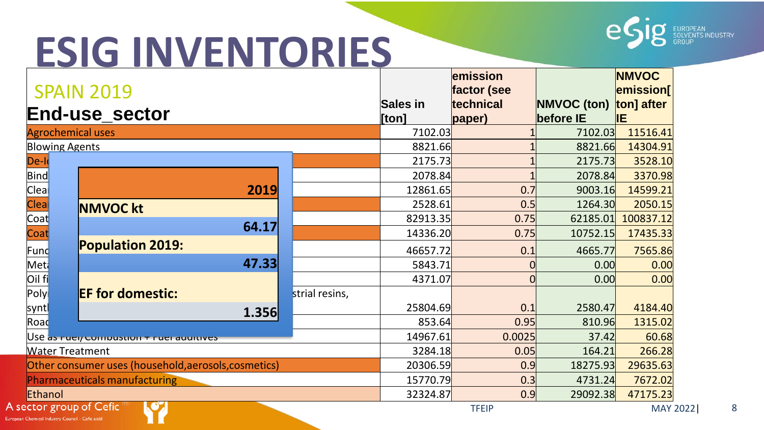

|                          |                                                      |                |                 | emission     |                    | <b>NMVOC</b> |
|--------------------------|------------------------------------------------------|----------------|-----------------|--------------|--------------------|--------------|
|                          | <b>SPAIN 2019</b>                                    |                |                 | factor (see  |                    | emission     |
|                          | <b>End-use sector</b>                                |                | <b>Sales in</b> | technical    | <b>NMVOC (ton)</b> | ton] after   |
|                          |                                                      |                | [ton]           | paper)       | before IE          | lΙE          |
| <b>Agrochemical uses</b> |                                                      |                | 7102.03         |              | 7102.03            | 11516.41     |
| <b>Blowing Agents</b>    |                                                      |                | 8821.66         |              | 8821.66            | 14304.91     |
| De-lo                    |                                                      |                | 2175.73         |              | 2175.73            | 3528.10      |
| Bind                     |                                                      |                | 2078.84         |              | 2078.84            | 3370.98      |
| Clea                     | 2019                                                 |                | 12861.65        | 0.7          | 9003.16            | 14599.21     |
| <b>Clea</b>              | <b>NMVOC kt</b>                                      |                | 2528.61         | 0.5          | 1264.30            | 2050.15      |
| Coat                     |                                                      |                | 82913.35        | 0.75         | 62185.01           | 100837.12    |
| Coat                     | 64.17                                                |                | 14336.20        | 0.75         | 10752.15           | 17435.33     |
| Fund                     | Population 2019:                                     |                | 46657.72        | 0.1          | 4665.77            | 7565.86      |
| Met                      | 47.33                                                |                | 5843.71         |              | 0.00               | 0.00         |
| Oil fi                   |                                                      |                | 4371.07         |              | 0.00               | 0.00         |
| Poly                     | <b>EF for domestic:</b>                              | strial resins, |                 |              |                    |              |
| syntl                    | 1.356                                                |                | 25804.69        | 0.1          | 2580.47            | 4184.40      |
| Road                     |                                                      |                | 853.64          | 0.95         | 810.96             | 1315.02      |
|                          | Use as nuelly computed in the determinance of        |                | 14967.61        | 0.0025       | 37.42              | 60.68        |
| <b>Water Treatment</b>   |                                                      |                | 3284.18         | 0.05         | 164.21             | 266.28       |
|                          | Other consumer uses (household, aerosols, cosmetics) |                | 20306.59        | 0.9          | 18275.93           | 29635.63     |
|                          | Pharmaceuticals manufacturing                        |                | 15770.79        | 0.3          | 4731.24            | 7672.02      |
| Ethanol                  |                                                      |                | 32324.87        | 0.9          | 29092.38           | 47175.23     |
|                          | ector group of Cefic<br>$\mathbf{C}$                 |                |                 | <b>TFEIP</b> |                    | MAY 2022     |

A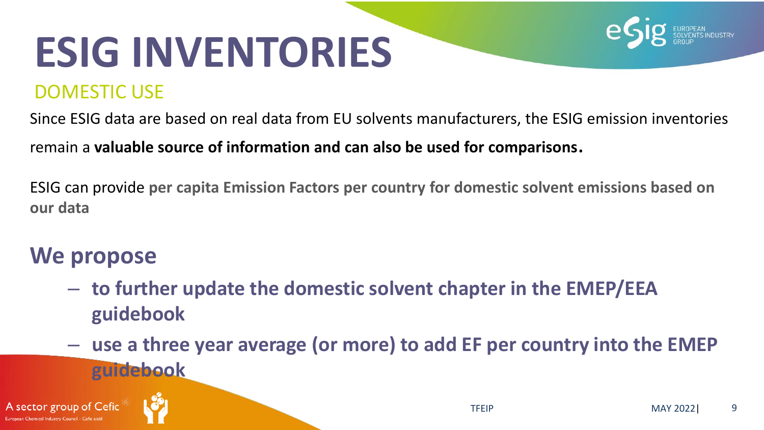### DOMESTIC USE

Since ESIG data are based on real data from EU solvents manufacturers, the ESIG emission inventories

remain a **valuable source of information and can also be used for comparisons**.

ESIG can provide **per capita Emission Factors per country for domestic solvent emissions based on our data**

### **We propose**

- **to further update the domestic solvent chapter in the EMEP/EEA guidebook**
- **use a three year average (or more) to add EF per country into the EMEP guidebook**



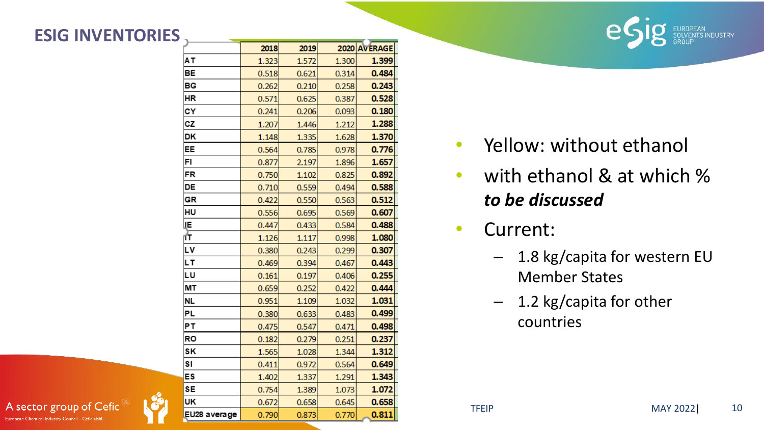



- Yellow: without ethanol
- with ethanol & at which % *to be discussed*
- Current:
	- 1.8 kg/capita for western EU Member States
	- 1.2 kg/capita for other countries

A sector group of Cefic European Chemical Industry Council - Cefic aisbl